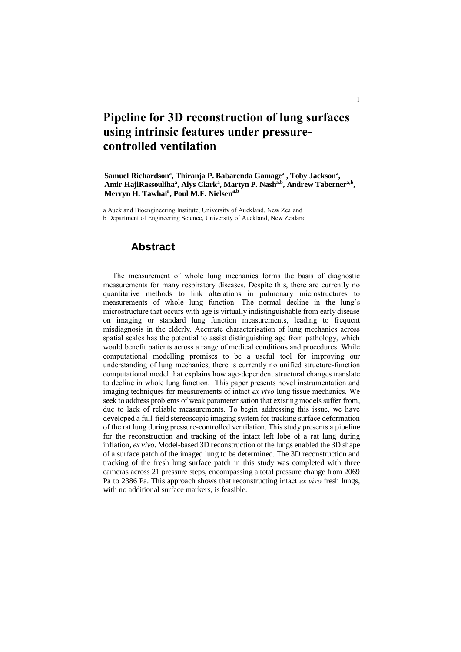# **Pipeline for 3D reconstruction of lung surfaces using intrinsic features under pressurecontrolled ventilation**

Samuel Richardson<sup>a</sup>, Thiranja P. Babarenda Gamage<sup>a</sup>, Toby Jackson<sup>a</sup>, Amir HajiRassouliha<sup>a</sup>, Alys Clark<sup>a</sup>, Martyn P. Nash<sup>a,b</sup>, Andrew Taberner<sup>a,b</sup>, **Merryn H. Tawhai<sup>a</sup> , Poul M.F. Nielsena,b**

a Auckland Bioengineering Institute, University of Auckland, New Zealand b Department of Engineering Science, University of Auckland, New Zealand

## **Abstract**

The measurement of whole lung mechanics forms the basis of diagnostic measurements for many respiratory diseases. Despite this, there are currently no quantitative methods to link alterations in pulmonary microstructures to measurements of whole lung function. The normal decline in the lung's microstructure that occurs with age is virtually indistinguishable from early disease on imaging or standard lung function measurements, leading to frequent misdiagnosis in the elderly. Accurate characterisation of lung mechanics across spatial scales has the potential to assist distinguishing age from pathology, which would benefit patients across a range of medical conditions and procedures. While computational modelling promises to be a useful tool for improving our understanding of lung mechanics, there is currently no unified structure-function computational model that explains how age-dependent structural changes translate to decline in whole lung function. This paper presents novel instrumentation and imaging techniques for measurements of intact *ex vivo* lung tissue mechanics. We seek to address problems of weak parameterisation that existing models suffer from, due to lack of reliable measurements. To begin addressing this issue, we have developed a full-field stereoscopic imaging system for tracking surface deformation of the rat lung during pressure-controlled ventilation. This study presents a pipeline for the reconstruction and tracking of the intact left lobe of a rat lung during inflation*, ex vivo*. Model-based 3D reconstruction of the lungs enabled the 3D shape of a surface patch of the imaged lung to be determined. The 3D reconstruction and tracking of the fresh lung surface patch in this study was completed with three cameras across 21 pressure steps, encompassing a total pressure change from 2069 Pa to 2386 Pa. This approach shows that reconstructing intact *ex vivo* fresh lungs, with no additional surface markers, is feasible.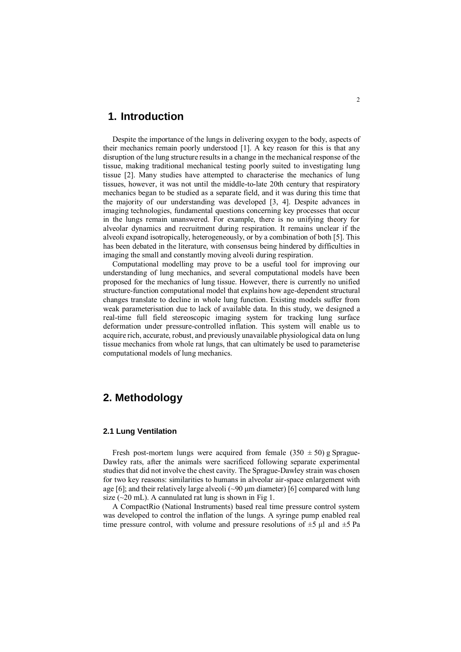## **1. Introduction**

Despite the importance of the lungs in delivering oxygen to the body, aspects of their mechanics remain poorly understood [1]. A key reason for this is that any disruption of the lung structure results in a change in the mechanical response of the tissue, making traditional mechanical testing poorly suited to investigating lung tissue [2]. Many studies have attempted to characterise the mechanics of lung tissues, however, it was not until the middle-to-late 20th century that respiratory mechanics began to be studied as a separate field, and it was during this time that the majority of our understanding was developed [3, 4]. Despite advances in imaging technologies, fundamental questions concerning key processes that occur in the lungs remain unanswered. For example, there is no unifying theory for alveolar dynamics and recruitment during respiration. It remains unclear if the alveoli expand isotropically, heterogeneously, or by a combination of both [5]. This has been debated in the literature, with consensus being hindered by difficulties in imaging the small and constantly moving alveoli during respiration.

Computational modelling may prove to be a useful tool for improving our understanding of lung mechanics, and several computational models have been proposed for the mechanics of lung tissue. However, there is currently no unified structure-function computational model that explains how age-dependent structural changes translate to decline in whole lung function. Existing models suffer from weak parameterisation due to lack of available data. In this study, we designed a real-time full field stereoscopic imaging system for tracking lung surface deformation under pressure-controlled inflation. This system will enable us to acquire rich, accurate, robust, and previously unavailable physiological data on lung tissue mechanics from whole rat lungs, that can ultimately be used to parameterise computational models of lung mechanics.

## **2. Methodology**

### **2.1 Lung Ventilation**

Fresh post-mortem lungs were acquired from female  $(350 \pm 50)$  g Sprague-Dawley rats, after the animals were sacrificed following separate experimental studies that did not involve the chest cavity. The Sprague-Dawley strain was chosen for two key reasons: similarities to humans in alveolar air-space enlargement with age  $[6]$ ; and their relatively large alveoli  $(\sim 90 \,\mu m)$  diameter)  $[6]$  compared with lung size  $(\sim 20 \text{ mL})$ . A cannulated rat lung is shown in Fig 1.

A CompactRio (National Instruments) based real time pressure control system was developed to control the inflation of the lungs. A syringe pump enabled real time pressure control, with volume and pressure resolutions of  $\pm$ 5 ul and  $\pm$ 5 Pa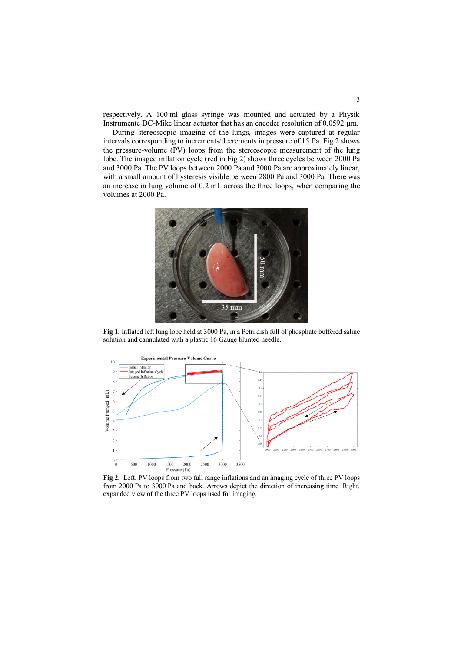respectively. A 100 ml glass syringe was mounted and actuated by a Physik Instrumente DC-Mike linear actuator that has an encoder resolution of 0.0592 µm.

During stereoscopic imaging of the lungs, images were captured at regular intervals corresponding to increments/decrements in pressure of 15 Pa. Fig 2 shows the pressure-volume (PV) loops from the stereoscopic measurement of the lung lobe. The imaged inflation cycle (red in Fig 2) shows three cycles between 2000 Pa and 3000 Pa. The PV loops between 2000 Pa and 3000 Pa are approximately linear, with a small amount of hysteresis visible between 2800 Pa and 3000 Pa. There was an increase in lung volume of 0.2 mL across the three loops, when comparing the volumes at 2000 Pa.



**Fig 1.** Inflated left lung lobe held at 3000 Pa, in a Petri dish full of phosphate buffered saline solution and cannulated with a plastic 16 Gauge blunted needle.



**Fig 2.** Left, PV loops from two full range inflations and an imaging cycle of three PV loops from 2000 Pa to 3000 Pa and back. Arrows depict the direction of increasing time. Right, expanded view of the three PV loops used for imaging.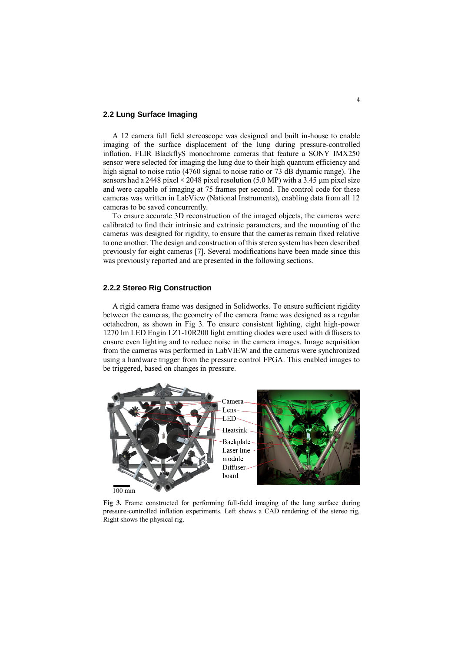### **2.2 Lung Surface Imaging**

A 12 camera full field stereoscope was designed and built in-house to enable imaging of the surface displacement of the lung during pressure-controlled inflation. FLIR BlackflyS monochrome cameras that feature a SONY IMX250 sensor were selected for imaging the lung due to their high quantum efficiency and high signal to noise ratio (4760 signal to noise ratio or 73 dB dynamic range). The sensors had a 2448 pixel  $\times$  2048 pixel resolution (5.0 MP) with a 3.45 µm pixel size and were capable of imaging at 75 frames per second. The control code for these cameras was written in LabView (National Instruments), enabling data from all 12 cameras to be saved concurrently.

To ensure accurate 3D reconstruction of the imaged objects, the cameras were calibrated to find their intrinsic and extrinsic parameters, and the mounting of the cameras was designed for rigidity, to ensure that the cameras remain fixed relative to one another. The design and construction of this stereo system has been described previously for eight cameras [7]. Several modifications have been made since this was previously reported and are presented in the following sections.

#### **2.2.2 Stereo Rig Construction**

A rigid camera frame was designed in Solidworks. To ensure sufficient rigidity between the cameras, the geometry of the camera frame was designed as a regular octahedron, as shown in Fig 3. To ensure consistent lighting, eight high-power 1270 lm LED Engin LZ1-10R200 light emitting diodes were used with diffusers to ensure even lighting and to reduce noise in the camera images. Image acquisition from the cameras was performed in LabVIEW and the cameras were synchronized using a hardware trigger from the pressure control FPGA. This enabled images to be triggered, based on changes in pressure.



**Fig 3.** Frame constructed for performing full-field imaging of the lung surface during pressure-controlled inflation experiments. Left shows a CAD rendering of the stereo rig, Right shows the physical rig.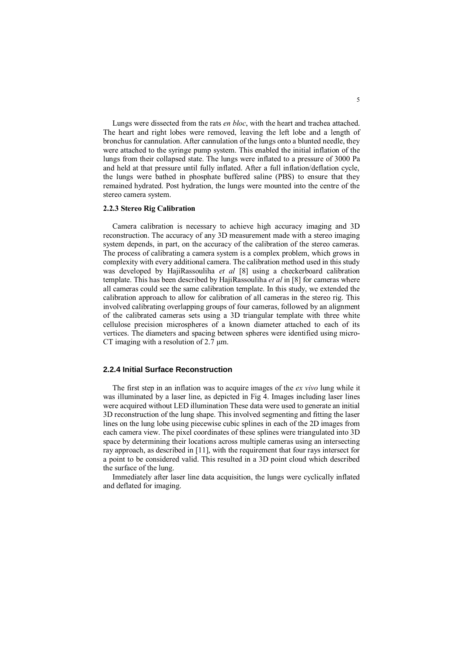Lungs were dissected from the rats *en bloc*, with the heart and trachea attached. The heart and right lobes were removed, leaving the left lobe and a length of bronchus for cannulation. After cannulation of the lungs onto a blunted needle, they were attached to the syringe pump system. This enabled the initial inflation of the lungs from their collapsed state. The lungs were inflated to a pressure of 3000 Pa and held at that pressure until fully inflated. After a full inflation/deflation cycle, the lungs were bathed in phosphate buffered saline (PBS) to ensure that they remained hydrated. Post hydration, the lungs were mounted into the centre of the stereo camera system.

#### **2.2.3 Stereo Rig Calibration**

Camera calibration is necessary to achieve high accuracy imaging and 3D reconstruction. The accuracy of any 3D measurement made with a stereo imaging system depends, in part, on the accuracy of the calibration of the stereo cameras. The process of calibrating a camera system is a complex problem, which grows in complexity with every additional camera. The calibration method used in this study was developed by HajiRassouliha *et al* [8] using a checkerboard calibration template. This has been described by HajiRassouliha *et al* in [8] for cameras where all cameras could see the same calibration template. In this study, we extended the calibration approach to allow for calibration of all cameras in the stereo rig. This involved calibrating overlapping groups of four cameras, followed by an alignment of the calibrated cameras sets using a 3D triangular template with three white cellulose precision microspheres of a known diameter attached to each of its vertices. The diameters and spacing between spheres were identified using micro-CT imaging with a resolution of  $2.7 \mu m$ .

### **2.2.4 Initial Surface Reconstruction**

The first step in an inflation was to acquire images of the *ex vivo* lung while it was illuminated by a laser line, as depicted in Fig 4. Images including laser lines were acquired without LED illumination These data were used to generate an initial 3D reconstruction of the lung shape. This involved segmenting and fitting the laser lines on the lung lobe using piecewise cubic splines in each of the 2D images from each camera view. The pixel coordinates of these splines were triangulated into 3D space by determining their locations across multiple cameras using an intersecting ray approach, as described in [11], with the requirement that four rays intersect for a point to be considered valid. This resulted in a 3D point cloud which described the surface of the lung.

Immediately after laser line data acquisition, the lungs were cyclically inflated and deflated for imaging.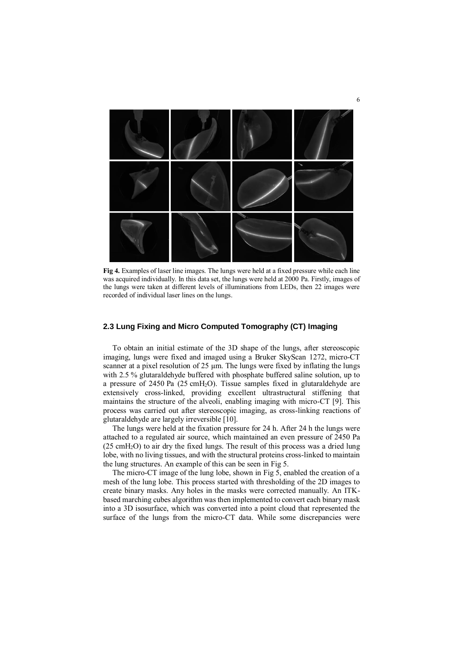

**Fig 4.** Examples of laser line images. The lungs were held at a fixed pressure while each line was acquired individually. In this data set, the lungs were held at 2000 Pa. Firstly, images of the lungs were taken at different levels of illuminations from LEDs, then 22 images were recorded of individual laser lines on the lungs.

## **2.3 Lung Fixing and Micro Computed Tomography (CT) Imaging**

To obtain an initial estimate of the 3D shape of the lungs, after stereoscopic imaging, lungs were fixed and imaged using a Bruker SkyScan 1272, micro-CT scanner at a pixel resolution of 25 µm. The lungs were fixed by inflating the lungs with 2.5 % glutaraldehyde buffered with phosphate buffered saline solution, up to a pressure of 2450 Pa (25 cmH2O). Tissue samples fixed in glutaraldehyde are extensively cross-linked, providing excellent ultrastructural stiffening that maintains the structure of the alveoli, enabling imaging with micro-CT [9]. This process was carried out after stereoscopic imaging, as cross-linking reactions of glutaraldehyde are largely irreversible [10].

The lungs were held at the fixation pressure for 24 h. After 24 h the lungs were attached to a regulated air source, which maintained an even pressure of 2450 Pa  $(25 \text{ cmH}_2\text{O})$  to air dry the fixed lungs. The result of this process was a dried lung lobe, with no living tissues, and with the structural proteins cross-linked to maintain the lung structures. An example of this can be seen in Fig 5.

The micro-CT image of the lung lobe, shown in Fig 5, enabled the creation of a mesh of the lung lobe. This process started with thresholding of the 2D images to create binary masks. Any holes in the masks were corrected manually. An ITKbased marching cubes algorithm was then implemented to convert each binary mask into a 3D isosurface, which was converted into a point cloud that represented the surface of the lungs from the micro-CT data. While some discrepancies were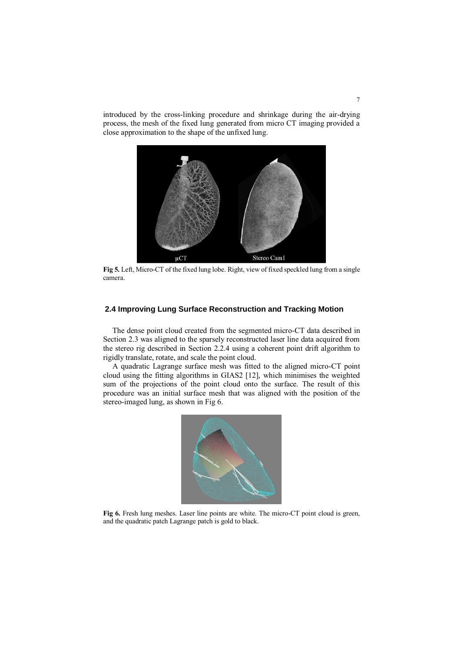introduced by the cross-linking procedure and shrinkage during the air-drying process, the mesh of the fixed lung generated from micro CT imaging provided a close approximation to the shape of the unfixed lung.



**Fig 5.** Left, Micro-CT of the fixed lung lobe. Right, view of fixed speckled lung from a single camera.

## **2.4 Improving Lung Surface Reconstruction and Tracking Motion**

The dense point cloud created from the segmented micro-CT data described in Section 2.3 was aligned to the sparsely reconstructed laser line data acquired from the stereo rig described in Section 2.2.4 using a coherent point drift algorithm to rigidly translate, rotate, and scale the point cloud.

A quadratic Lagrange surface mesh was fitted to the aligned micro-CT point cloud using the fitting algorithms in GIAS2 [12], which minimises the weighted sum of the projections of the point cloud onto the surface. The result of this procedure was an initial surface mesh that was aligned with the position of the stereo-imaged lung, as shown in Fig 6.



**Fig 6.** Fresh lung meshes. Laser line points are white. The micro-CT point cloud is green, and the quadratic patch Lagrange patch is gold to black.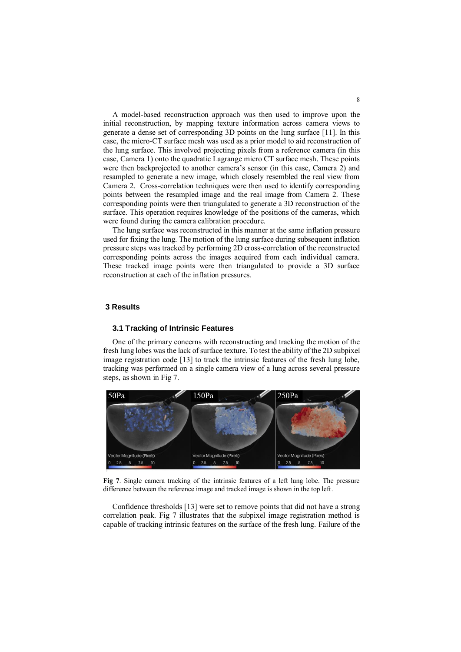A model-based reconstruction approach was then used to improve upon the initial reconstruction, by mapping texture information across camera views to generate a dense set of corresponding 3D points on the lung surface [11]. In this case, the micro-CT surface mesh was used as a prior model to aid reconstruction of the lung surface. This involved projecting pixels from a reference camera (in this case, Camera 1) onto the quadratic Lagrange micro CT surface mesh. These points were then backprojected to another camera's sensor (in this case, Camera 2) and resampled to generate a new image, which closely resembled the real view from Camera 2. Cross-correlation techniques were then used to identify corresponding points between the resampled image and the real image from Camera 2. These corresponding points were then triangulated to generate a 3D reconstruction of the surface. This operation requires knowledge of the positions of the cameras, which were found during the camera calibration procedure.

The lung surface was reconstructed in this manner at the same inflation pressure used for fixing the lung. The motion of the lung surface during subsequent inflation pressure steps was tracked by performing 2D cross-correlation of the reconstructed corresponding points across the images acquired from each individual camera. These tracked image points were then triangulated to provide a 3D surface reconstruction at each of the inflation pressures.

### **3 Results**

#### **3.1 Tracking of Intrinsic Features**

One of the primary concerns with reconstructing and tracking the motion of the fresh lung lobes was the lack of surface texture. To test the ability of the 2D subpixel image registration code [13] to track the intrinsic features of the fresh lung lobe, tracking was performed on a single camera view of a lung across several pressure steps, as shown in Fig 7.



**Fig 7**. Single camera tracking of the intrinsic features of a left lung lobe. The pressure difference between the reference image and tracked image is shown in the top left.

Confidence thresholds [13] were set to remove points that did not have a strong correlation peak. Fig 7 illustrates that the subpixel image registration method is capable of tracking intrinsic features on the surface of the fresh lung. Failure of the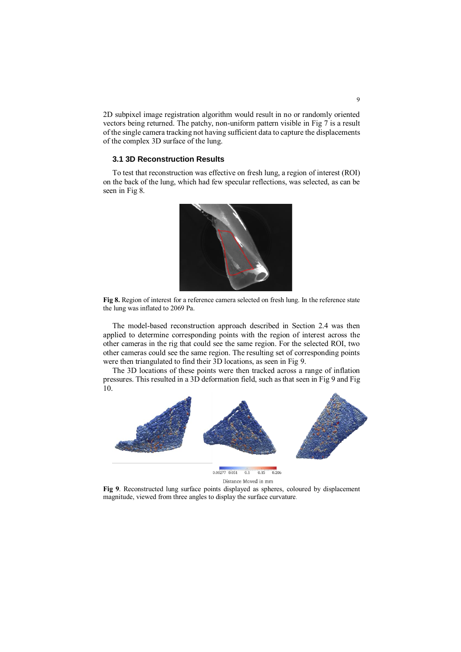2D subpixel image registration algorithm would result in no or randomly oriented vectors being returned. The patchy, non-uniform pattern visible in Fig 7 is a result of the single camera tracking not having sufficient data to capture the displacements of the complex 3D surface of the lung.

### **3.1 3D Reconstruction Results**

To test that reconstruction was effective on fresh lung, a region of interest (ROI) on the back of the lung, which had few specular reflections, was selected, as can be seen in Fig 8.



**Fig 8.** Region of interest for a reference camera selected on fresh lung. In the reference state the lung was inflated to 2069 Pa.

The model-based reconstruction approach described in Section 2.4 was then applied to determine corresponding points with the region of interest across the other cameras in the rig that could see the same region. For the selected ROI, two other cameras could see the same region. The resulting set of corresponding points were then triangulated to find their 3D locations, as seen in Fig 9.

The 3D locations of these points were then tracked across a range of inflation pressures. This resulted in a 3D deformation field, such as that seen in Fig 9 and Fig 10.



**Fig 9**. Reconstructed lung surface points displayed as spheres, coloured by displacement magnitude, viewed from three angles to display the surface curvature*.*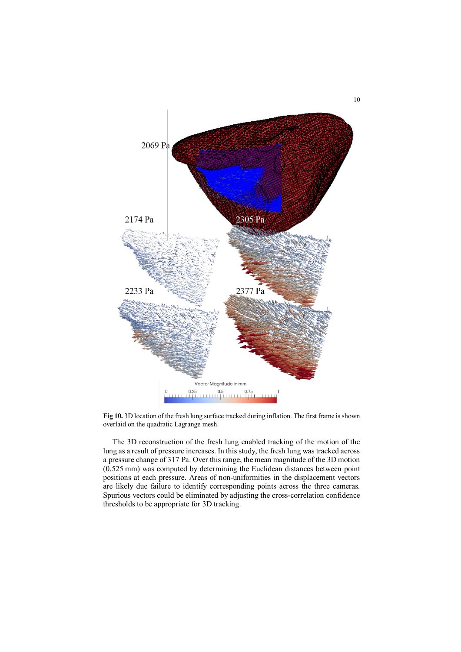

**Fig 10.** 3D location of the fresh lung surface tracked during inflation. The first frame is shown overlaid on the quadratic Lagrange mesh.

The 3D reconstruction of the fresh lung enabled tracking of the motion of the lung as a result of pressure increases. In this study, the fresh lung was tracked across a pressure change of 317 Pa. Over this range, the mean magnitude of the 3D motion (0.525 mm) was computed by determining the Euclidean distances between point positions at each pressure. Areas of non-uniformities in the displacement vectors are likely due failure to identify corresponding points across the three cameras. Spurious vectors could be eliminated by adjusting the cross-correlation confidence thresholds to be appropriate for 3D tracking.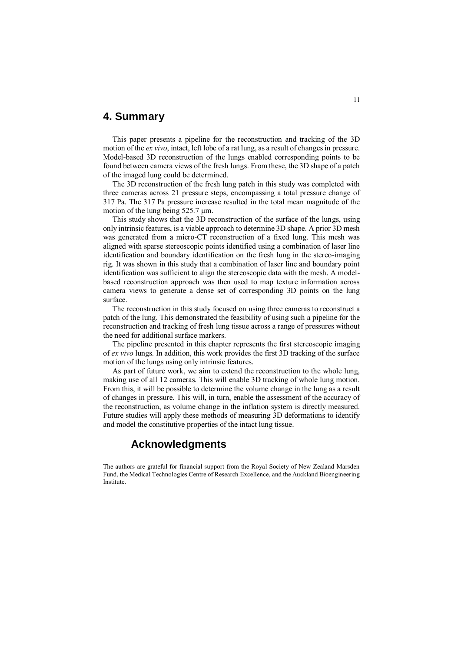## **4. Summary**

This paper presents a pipeline for the reconstruction and tracking of the 3D motion of the *ex vivo*, intact, left lobe of a rat lung, as a result of changes in pressure. Model-based 3D reconstruction of the lungs enabled corresponding points to be found between camera views of the fresh lungs. From these, the 3D shape of a patch of the imaged lung could be determined.

The 3D reconstruction of the fresh lung patch in this study was completed with three cameras across 21 pressure steps, encompassing a total pressure change of 317 Pa. The 317 Pa pressure increase resulted in the total mean magnitude of the motion of the lung being 525.7 um.

This study shows that the 3D reconstruction of the surface of the lungs, using only intrinsic features, is a viable approach to determine 3D shape. A prior 3D mesh was generated from a micro-CT reconstruction of a fixed lung. This mesh was aligned with sparse stereoscopic points identified using a combination of laser line identification and boundary identification on the fresh lung in the stereo-imaging rig. It was shown in this study that a combination of laser line and boundary point identification was sufficient to align the stereoscopic data with the mesh. A modelbased reconstruction approach was then used to map texture information across camera views to generate a dense set of corresponding 3D points on the lung surface.

The reconstruction in this study focused on using three cameras to reconstruct a patch of the lung. This demonstrated the feasibility of using such a pipeline for the reconstruction and tracking of fresh lung tissue across a range of pressures without the need for additional surface markers.

The pipeline presented in this chapter represents the first stereoscopic imaging of *ex vivo* lungs. In addition, this work provides the first 3D tracking of the surface motion of the lungs using only intrinsic features.

As part of future work, we aim to extend the reconstruction to the whole lung, making use of all 12 cameras. This will enable 3D tracking of whole lung motion. From this, it will be possible to determine the volume change in the lung as a result of changes in pressure. This will, in turn, enable the assessment of the accuracy of the reconstruction, as volume change in the inflation system is directly measured. Future studies will apply these methods of measuring 3D deformations to identify and model the constitutive properties of the intact lung tissue.

## **Acknowledgments**

The authors are grateful for financial support from the Royal Society of New Zealand Marsden Fund, the Medical Technologies Centre of Research Excellence, and the Auckland Bioengineering Institute.